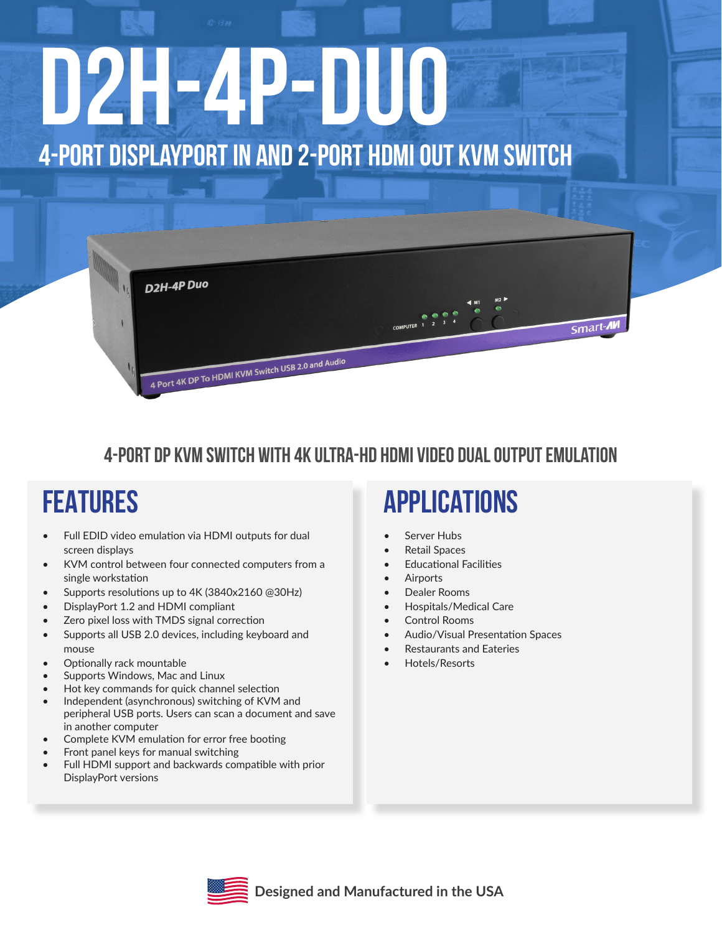# **D2H-4P-Duo 4-Port DisplayPort IN and 2-Port HDMI Out KVM Switch**



#### **4-Port DP KVM switch with 4K Ultra-HD HDMI video dual output emulation**

### **FEATURES**

- Full EDID video emulation via HDMI outputs for dual screen displays
- • KVM control between four connected computers from a single workstation
- Supports resolutions up to 4K (3840x2160 @30Hz)
- DisplayPort 1.2 and HDMI compliant
- Zero pixel loss with TMDS signal correction
- Supports all USB 2.0 devices, including keyboard and mouse
- • Optionally rack mountable
- Supports Windows, Mac and Linux
- Hot key commands for quick channel selection
- Independent (asynchronous) switching of KVM and peripheral USB ports. Users can scan a document and save in another computer
- Complete KVM emulation for error free booting
- Front panel keys for manual switching
- Full HDMI support and backwards compatible with prior DisplayPort versions

### **APPLICATIONS**

- Server Hubs
- Retail Spaces
- **Educational Facilities**
- **Airports**
- Dealer Rooms
- **Hospitals/Medical Care**
- Control Rooms
- Audio/Visual Presentation Spaces
- **Restaurants and Eateries**
- Hotels/Resorts

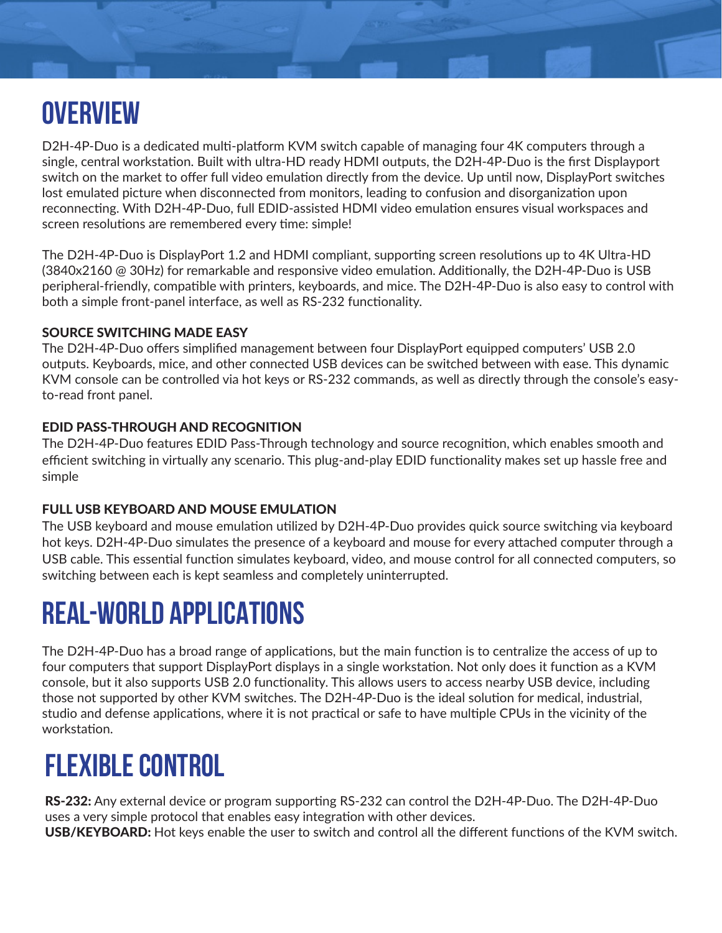# **OVERVIEW**

D2H-4P-Duo is a dedicated multi-platform KVM switch capable of managing four 4K computers through a single, central workstation. Built with ultra-HD ready HDMI outputs, the D2H-4P-Duo is the first Displayport switch on the market to offer full video emulation directly from the device. Up until now, DisplayPort switches lost emulated picture when disconnected from monitors, leading to confusion and disorganization upon reconnecting. With D2H-4P-Duo, full EDID-assisted HDMI video emulation ensures visual workspaces and screen resolutions are remembered every time: simple!

The D2H-4P-Duo is DisplayPort 1.2 and HDMI compliant, supporting screen resolutions up to 4K Ultra-HD (3840x2160 @ 30Hz) for remarkable and responsive video emulation. Additionally, the D2H-4P-Duo is USB peripheral-friendly, compatible with printers, keyboards, and mice. The D2H-4P-Duo is also easy to control with both a simple front-panel interface, as well as RS-232 functionality.

#### SOURCE SWITCHING MADE EASY

The D2H-4P-Duo offers simplified management between four DisplayPort equipped computers' USB 2.0 outputs. Keyboards, mice, and other connected USB devices can be switched between with ease. This dynamic KVM console can be controlled via hot keys or RS-232 commands, as well as directly through the console's easyto-read front panel.

#### EDID PASS-THROUGH AND RECOGNITION

The D2H-4P-Duo features EDID Pass-Through technology and source recognition, which enables smooth and efficient switching in virtually any scenario. This plug-and-play EDID functionality makes set up hassle free and simple

#### FULL USB KEYBOARD AND MOUSE EMULATION

The USB keyboard and mouse emulation utilized by D2H-4P-Duo provides quick source switching via keyboard hot keys. D2H-4P-Duo simulates the presence of a keyboard and mouse for every attached computer through a USB cable. This essential function simulates keyboard, video, and mouse control for all connected computers, so switching between each is kept seamless and completely uninterrupted.

#### **REAL-WORLD APPLICATIONS**

The D2H-4P-Duo has a broad range of applications, but the main function is to centralize the access of up to four computers that support DisplayPort displays in a single workstation. Not only does it function as a KVM console, but it also supports USB 2.0 functionality. This allows users to access nearby USB device, including those not supported by other KVM switches. The D2H-4P-Duo is the ideal solution for medical, industrial, studio and defense applications, where it is not practical or safe to have multiple CPUs in the vicinity of the workstation.

### **FLEXIBLE CONTROL**

RS-232: Any external device or program supporting RS-232 can control the D2H-4P-Duo. The D2H-4P-Duo uses a very simple protocol that enables easy integration with other devices. USB/KEYBOARD: Hot keys enable the user to switch and control all the different functions of the KVM switch.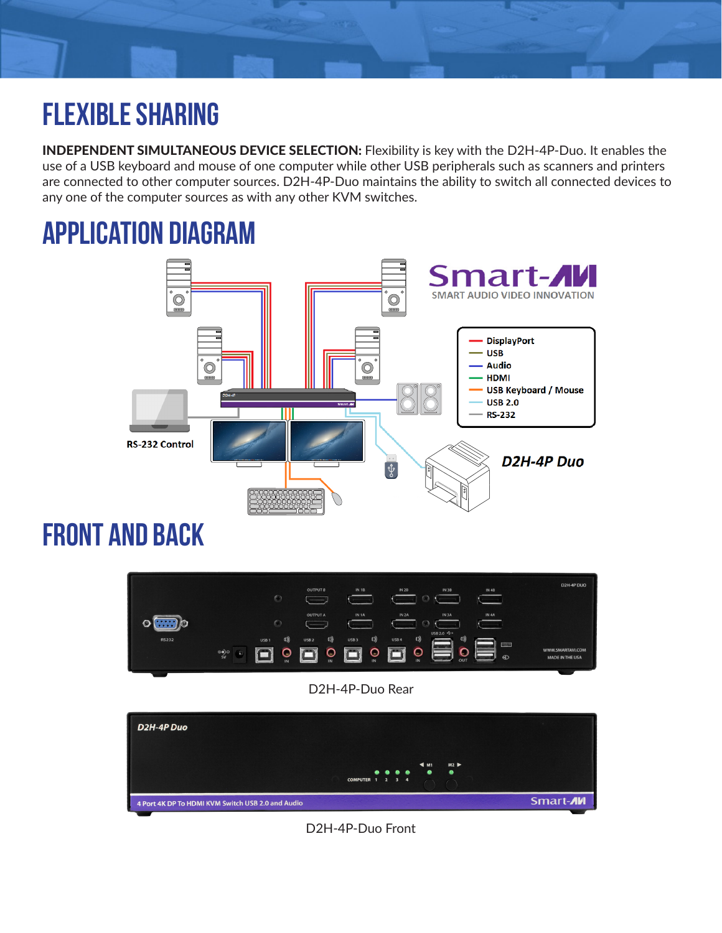# **FLEXIBLE SHARING**

INDEPENDENT SIMULTANEOUS DEVICE SELECTION: Flexibility is key with the D2H-4P-Duo. It enables the use of a USB keyboard and mouse of one computer while other USB peripherals such as scanners and printers are connected to other computer sources. D2H-4P-Duo maintains the ability to switch all connected devices to any one of the computer sources as with any other KVM switches.

#### **application diagram** Smart-A SMART AUDIO VIDEO INNOVATION  $\overset{\circ}{\textcircled{\tiny\Xi}}$  $\rm \ddot{\odot}$ **DisplayPort**  $-$  USB  $\odot$ - Audio  $\omega$ **HDMI USB Keyboard / Mouse USB 2.0 RS-232** RS-232 Control D2H-4P Duo  $\overline{\mathfrak{P}}$

### **front and back**



#### D2H-4P-Duo Rear



D2H-4P-Duo Front